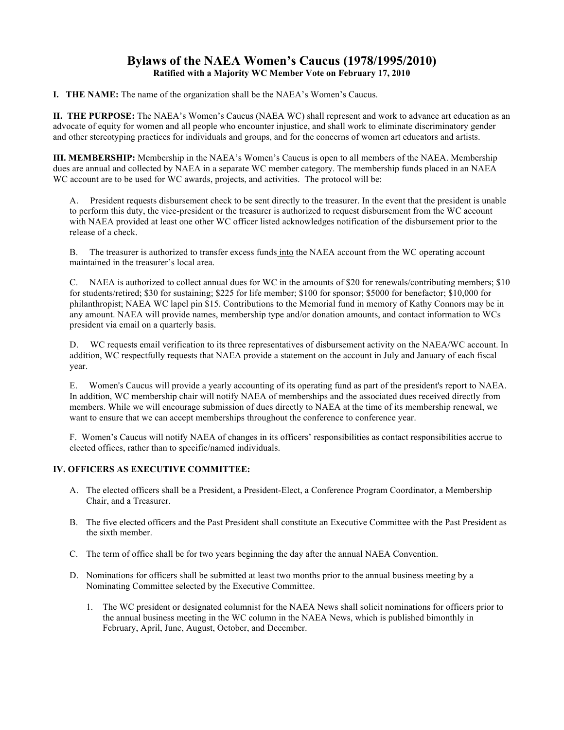# **Bylaws of the NAEA Women's Caucus (1978/1995/2010) Ratified with a Majority WC Member Vote on February 17, 2010**

**I. THE NAME:** The name of the organization shall be the NAEA's Women's Caucus.

**II. THE PURPOSE:** The NAEA's Women's Caucus (NAEA WC) shall represent and work to advance art education as an advocate of equity for women and all people who encounter injustice, and shall work to eliminate discriminatory gender and other stereotyping practices for individuals and groups, and for the concerns of women art educators and artists.

**III. MEMBERSHIP:** Membership in the NAEA's Women's Caucus is open to all members of the NAEA. Membership dues are annual and collected by NAEA in a separate WC member category. The membership funds placed in an NAEA WC account are to be used for WC awards, projects, and activities. The protocol will be:

A. President requests disbursement check to be sent directly to the treasurer. In the event that the president is unable to perform this duty, the vice-president or the treasurer is authorized to request disbursement from the WC account with NAEA provided at least one other WC officer listed acknowledges notification of the disbursement prior to the release of a check.

B. The treasurer is authorized to transfer excess funds into the NAEA account from the WC operating account maintained in the treasurer's local area.

C. NAEA is authorized to collect annual dues for WC in the amounts of \$20 for renewals/contributing members; \$10 for students/retired; \$30 for sustaining; \$225 for life member; \$100 for sponsor; \$5000 for benefactor; \$10,000 for philanthropist; NAEA WC lapel pin \$15. Contributions to the Memorial fund in memory of Kathy Connors may be in any amount. NAEA will provide names, membership type and/or donation amounts, and contact information to WCs president via email on a quarterly basis.

D. WC requests email verification to its three representatives of disbursement activity on the NAEA/WC account. In addition, WC respectfully requests that NAEA provide a statement on the account in July and January of each fiscal year.

E. Women's Caucus will provide a yearly accounting of its operating fund as part of the president's report to NAEA. In addition, WC membership chair will notify NAEA of memberships and the associated dues received directly from members. While we will encourage submission of dues directly to NAEA at the time of its membership renewal, we want to ensure that we can accept memberships throughout the conference to conference year.

F. Women's Caucus will notify NAEA of changes in its officers' responsibilities as contact responsibilities accrue to elected offices, rather than to specific/named individuals.

# **IV. OFFICERS AS EXECUTIVE COMMITTEE:**

- A. The elected officers shall be a President, a President-Elect, a Conference Program Coordinator, a Membership Chair, and a Treasurer.
- B. The five elected officers and the Past President shall constitute an Executive Committee with the Past President as the sixth member.
- C. The term of office shall be for two years beginning the day after the annual NAEA Convention.
- D. Nominations for officers shall be submitted at least two months prior to the annual business meeting by a Nominating Committee selected by the Executive Committee.
	- 1. The WC president or designated columnist for the NAEA News shall solicit nominations for officers prior to the annual business meeting in the WC column in the NAEA News, which is published bimonthly in February, April, June, August, October, and December.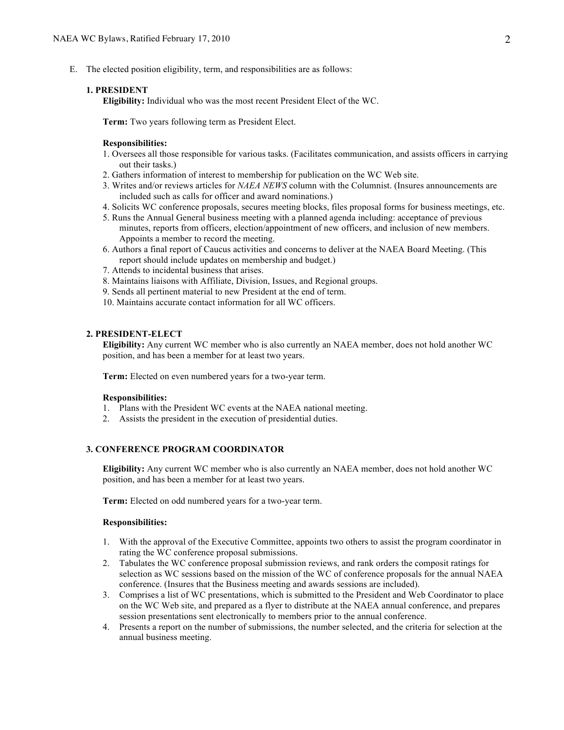E. The elected position eligibility, term, and responsibilities are as follows:

### **1. PRESIDENT**

**Eligibility:** Individual who was the most recent President Elect of the WC.

**Term:** Two years following term as President Elect.

#### **Responsibilities:**

- 1. Oversees all those responsible for various tasks. (Facilitates communication, and assists officers in carrying out their tasks.)
- 2. Gathers information of interest to membership for publication on the WC Web site.
- 3. Writes and/or reviews articles for *NAEA NEWS* column with the Columnist. (Insures announcements are included such as calls for officer and award nominations.)
- 4. Solicits WC conference proposals, secures meeting blocks, files proposal forms for business meetings, etc.
- 5. Runs the Annual General business meeting with a planned agenda including: acceptance of previous minutes, reports from officers, election/appointment of new officers, and inclusion of new members. Appoints a member to record the meeting.
- 6. Authors a final report of Caucus activities and concerns to deliver at the NAEA Board Meeting. (This report should include updates on membership and budget.)
- 7. Attends to incidental business that arises.
- 8. Maintains liaisons with Affiliate, Division, Issues, and Regional groups.
- 9. Sends all pertinent material to new President at the end of term.
- 10. Maintains accurate contact information for all WC officers.

#### **2. PRESIDENT-ELECT**

**Eligibility:** Any current WC member who is also currently an NAEA member, does not hold another WC position, and has been a member for at least two years.

**Term:** Elected on even numbered years for a two-year term.

#### **Responsibilities:**

- 1. Plans with the President WC events at the NAEA national meeting.
- 2. Assists the president in the execution of presidential duties.

## **3. CONFERENCE PROGRAM COORDINATOR**

**Eligibility:** Any current WC member who is also currently an NAEA member, does not hold another WC position, and has been a member for at least two years.

**Term:** Elected on odd numbered years for a two-year term.

#### **Responsibilities:**

- 1. With the approval of the Executive Committee, appoints two others to assist the program coordinator in rating the WC conference proposal submissions.
- 2. Tabulates the WC conference proposal submission reviews, and rank orders the composit ratings for selection as WC sessions based on the mission of the WC of conference proposals for the annual NAEA conference. (Insures that the Business meeting and awards sessions are included).
- 3. Comprises a list of WC presentations, which is submitted to the President and Web Coordinator to place on the WC Web site, and prepared as a flyer to distribute at the NAEA annual conference, and prepares session presentations sent electronically to members prior to the annual conference.
- 4. Presents a report on the number of submissions, the number selected, and the criteria for selection at the annual business meeting.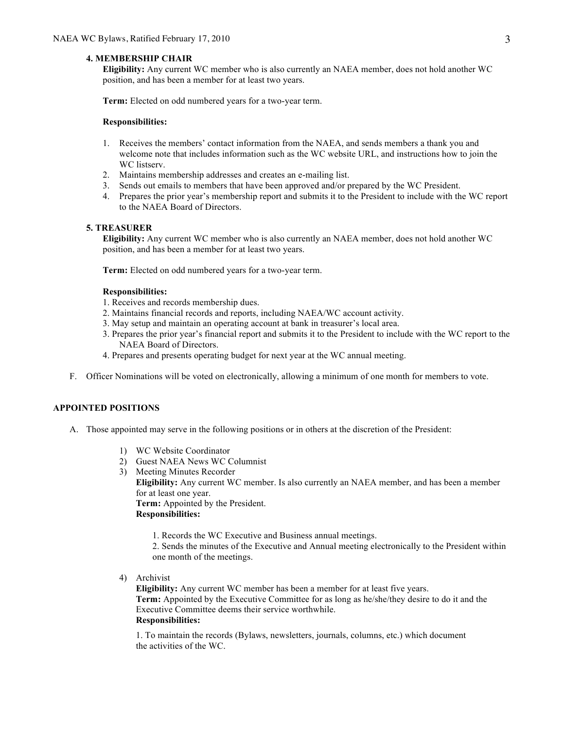### **4. MEMBERSHIP CHAIR**

**Eligibility:** Any current WC member who is also currently an NAEA member, does not hold another WC position, and has been a member for at least two years.

**Term:** Elected on odd numbered years for a two-year term.

#### **Responsibilities:**

- 1. Receives the members' contact information from the NAEA, and sends members a thank you and welcome note that includes information such as the WC website URL, and instructions how to join the WC listserv.
- 2. Maintains membership addresses and creates an e-mailing list.
- 3. Sends out emails to members that have been approved and/or prepared by the WC President.
- 4. Prepares the prior year's membership report and submits it to the President to include with the WC report to the NAEA Board of Directors.

### **5. TREASURER**

**Eligibility:** Any current WC member who is also currently an NAEA member, does not hold another WC position, and has been a member for at least two years.

**Term:** Elected on odd numbered years for a two-year term.

#### **Responsibilities:**

- 1. Receives and records membership dues.
- 2. Maintains financial records and reports, including NAEA/WC account activity.
- 3. May setup and maintain an operating account at bank in treasurer's local area.
- 3. Prepares the prior year's financial report and submits it to the President to include with the WC report to the NAEA Board of Directors.
- 4. Prepares and presents operating budget for next year at the WC annual meeting.
- F. Officer Nominations will be voted on electronically, allowing a minimum of one month for members to vote.

# **APPOINTED POSITIONS**

- A. Those appointed may serve in the following positions or in others at the discretion of the President:
	- 1) WC Website Coordinator
	- 2) Guest NAEA News WC Columnist
	- 3) Meeting Minutes Recorder **Eligibility:** Any current WC member. Is also currently an NAEA member, and has been a member for at least one year. **Term:** Appointed by the President.

**Responsibilities:**

1. Records the WC Executive and Business annual meetings.

2. Sends the minutes of the Executive and Annual meeting electronically to the President within one month of the meetings.

4) Archivist

**Eligibility:** Any current WC member has been a member for at least five years. **Term:** Appointed by the Executive Committee for as long as he/she/they desire to do it and the Executive Committee deems their service worthwhile. **Responsibilities:** 

1. To maintain the records (Bylaws, newsletters, journals, columns, etc.) which document the activities of the WC.